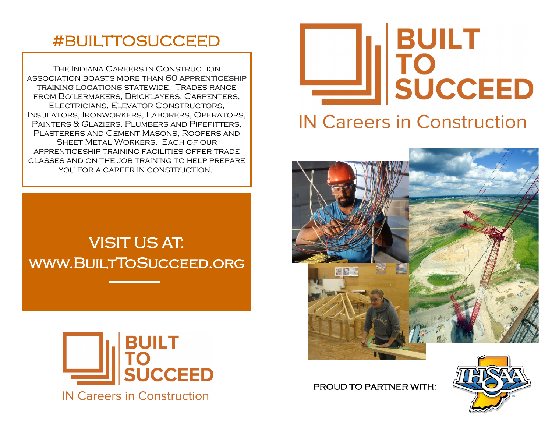# #BUILTTOSUCCEED

The Indiana Careers in Construction association boasts more than 60 apprenticeship training locations statewide. Trades range from Boilermakers, Bricklayers, Carpenters, Electricians, Elevator Constructors, Insulators, Ironworkers, Laborers, Operators, Painters & Glaziers, Plumbers and Pipefitters, Plasterers and Cement Masons, Roofers and SHEET METAL WORKERS. EACH OF OUR apprenticeship training facilities offer trade classes and on the job training to help prepare you for a career in construction.







# **IN Careers in Construction**



PROUD TO PARTNER WITH: